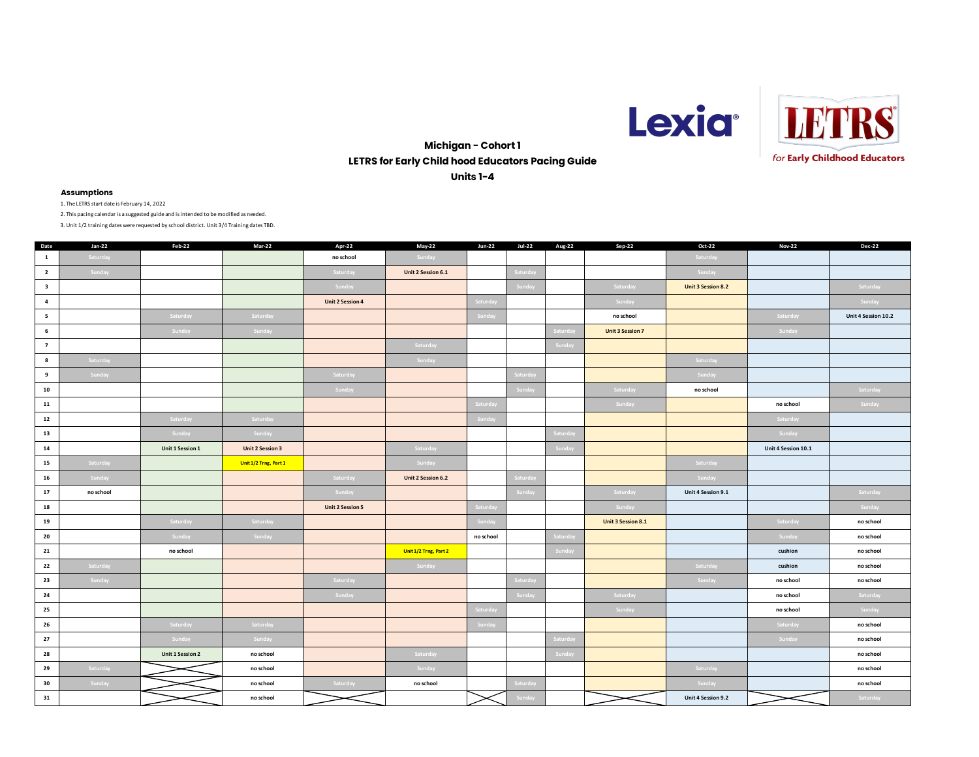



**Michigan - Cohort 1 LETRS for Early Child hood Educators Pacing Guide Units 1-4**

# **Assumptions**

1. The LETRS start date is February 14, 2022

2. This pacing calendar is a suggested guide and is intended to be modified as needed.

| Date                    | $Jan-22$  | Feb-22                  | Mar-22                  | Apr-22                  | May-22                | <b>Jun-22</b> | <b>Jul-22</b> | Aug-22           | Sep-22                  | Oct-22                    | <b>Nov-22</b>       | <b>Dec-22</b>       |
|-------------------------|-----------|-------------------------|-------------------------|-------------------------|-----------------------|---------------|---------------|------------------|-------------------------|---------------------------|---------------------|---------------------|
| $\mathbf{1}$            | Saturday  |                         |                         | no school               | Sunday                |               |               |                  |                         | Saturday                  |                     |                     |
| $\overline{2}$          | Sunday    |                         |                         | Saturday                | Unit 2 Session 6.1    |               | Saturday      |                  |                         | Sunday                    |                     |                     |
| $\overline{\mathbf{3}}$ |           |                         |                         | Sunday                  |                       |               | Sunday        |                  | Saturday                | <b>Unit 3 Session 8.2</b> |                     | Saturday            |
| $\overline{a}$          |           |                         |                         | <b>Unit 2 Session 4</b> |                       | Saturday      |               |                  | Sunday                  |                           |                     | Sunday              |
| $5^{\circ}$             |           | Saturday                | Saturday                |                         |                       | Sunday        |               |                  | no school               |                           | Saturday            | Unit 4 Session 10.2 |
| $6\phantom{.0}$         |           | Sunday                  | Sunday                  |                         |                       |               |               | Saturda          | <b>Unit 3 Session 7</b> |                           | Sunday              |                     |
| $\overline{7}$          |           |                         |                         |                         | Saturday              |               |               | Sunday           |                         |                           |                     |                     |
| 8                       | Saturday  |                         |                         |                         | Sunday                |               |               |                  |                         | Saturday                  |                     |                     |
| 9                       | Sunday    |                         |                         | Saturday                |                       |               | Saturday      |                  |                         | Sunday                    |                     |                     |
| 10                      |           |                         |                         | Sunday                  |                       |               | Sunday        |                  | Saturday                | no school                 |                     | Saturday            |
| 11                      |           |                         |                         |                         |                       | Saturday      |               |                  | Sunday                  |                           | no school           | Sunday              |
| 12                      |           | Saturday                | Saturday                |                         |                       | Sunday        |               |                  |                         |                           | Saturday            |                     |
| 13                      |           | Sunday                  | Sunday                  |                         |                       |               |               | <b>Saturda</b> y |                         |                           | Sunday              |                     |
| 14                      |           | Unit 1 Session 1        | <b>Unit 2 Session 3</b> |                         | Saturday              |               |               | Sunday           |                         |                           | Unit 4 Session 10.1 |                     |
| 15                      | Saturday  |                         | Unit 1/2 Trng, Part 1   |                         | Sunday                |               |               |                  |                         | Saturday                  |                     |                     |
| 16                      | Sunday    |                         |                         | Saturday                | Unit 2 Session 6.2    |               | Saturday      |                  |                         | Sunday                    |                     |                     |
| 17                      | no school |                         |                         | Sunday                  |                       |               | Sunday        |                  | Saturday                | Unit 4 Session 9.1        |                     | Saturday            |
| 18                      |           |                         |                         | <b>Unit 2 Session 5</b> |                       | Saturday      |               |                  | Sunday                  |                           |                     | Sunday              |
| 19                      |           | Saturday                | Saturday                |                         |                       | Sunday        |               |                  | Unit 3 Session 8.1      |                           | Saturday            | no school           |
| 20                      |           | Sunday                  | Sunday                  |                         |                       | no school     |               | Saturday         |                         |                           | Sunday              | no school           |
| 21                      |           | no school               |                         |                         | Unit 1/2 Trng, Part 2 |               |               | Sunday           |                         |                           | cushion             | no school           |
| 22                      | Saturday  |                         |                         |                         | Sunday                |               |               |                  |                         | Saturday                  | cushion             | no school           |
| 23                      | Sunday    |                         |                         | Saturday                |                       |               | Saturday      |                  |                         | Sunday                    | no school           | no school           |
| 24                      |           |                         |                         | Sunday                  |                       |               | Sunday        |                  | Saturday                |                           | no school           | Saturday            |
| 25                      |           |                         |                         |                         |                       | Saturday      |               |                  | Sunday                  |                           | no school           | Sunday              |
| 26                      |           | Saturday                | Saturday                |                         |                       | Sunday        |               |                  |                         |                           | Saturday            | no school           |
| 27                      |           | Sunday                  | Sunday                  |                         |                       |               |               | Saturday         |                         |                           | Sunday              | no school           |
| 28                      |           | <b>Unit 1 Session 2</b> | no school               |                         | Saturday              |               |               | Sunday           |                         |                           |                     | no school           |
| 29                      | Saturday  |                         | no school               |                         | Sunday                |               |               |                  |                         | Saturday                  |                     | no school           |
| 30                      | Sunday    |                         | no school               | Saturday                | no school             |               | Saturday      |                  |                         | Sunday                    |                     | no school           |
| 31                      |           |                         | no school               |                         |                       |               | Sunday        |                  |                         | Unit 4 Session 9.2        |                     | Saturday            |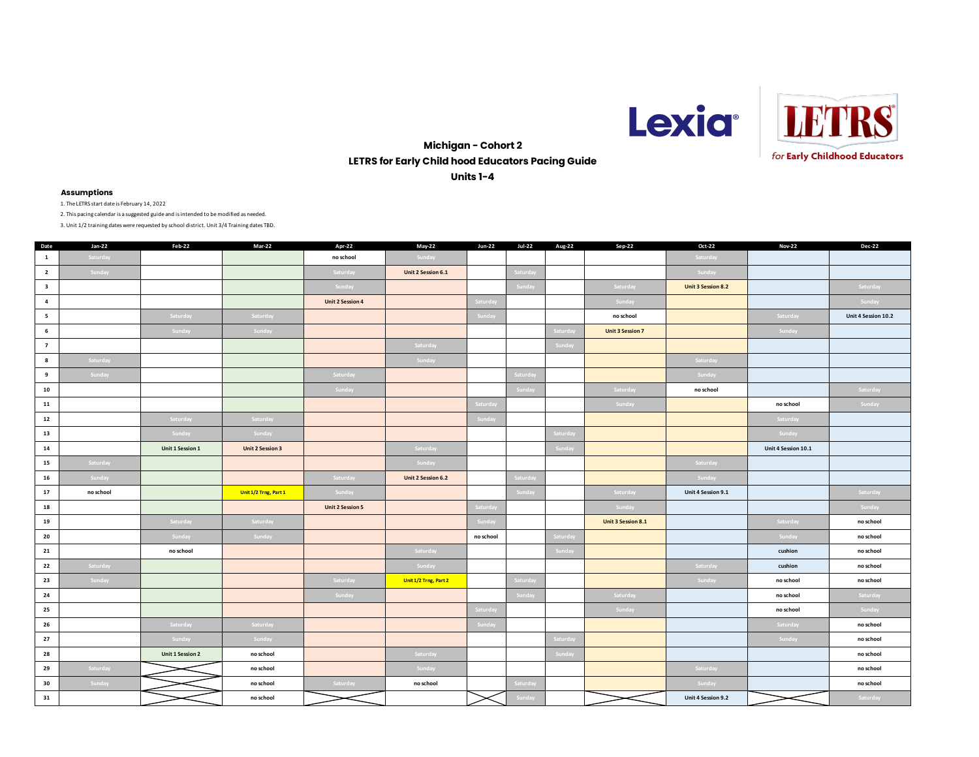



# **Michigan - Cohort 2 LETRS for Early Child hood Educators Pacing Guide Units 1-4**

# **Assumptions**

1. The LETRS start date is February 14, 2022

2. This pacing calendar is a suggested guide and is intended to be modified as needed.

| Date                    | $Jan-22$  | Feb-22                  | Mar-22                  | Apr-22                  | May-22                | <b>Jun-22</b> | <b>Jul-22</b>   | Aug-22        | Sep-22                  | Oct-22                    | <b>Nov-22</b>       | <b>Dec-22</b>       |
|-------------------------|-----------|-------------------------|-------------------------|-------------------------|-----------------------|---------------|-----------------|---------------|-------------------------|---------------------------|---------------------|---------------------|
| $\mathbf{1}$            | Saturday  |                         |                         | no school               | Sunday                |               |                 |               |                         | Saturday                  |                     |                     |
| $\overline{2}$          | Sunday    |                         |                         | Saturday                | Unit 2 Session 6.1    |               | Saturday        |               |                         | Sunday                    |                     |                     |
| $\overline{\mathbf{3}}$ |           |                         |                         | Sunday                  |                       |               | Sunday          |               | Saturday                | <b>Unit 3 Session 8.2</b> |                     | Saturday            |
| $\overline{a}$          |           |                         |                         | <b>Unit 2 Session 4</b> |                       | Saturday      |                 |               | Sunday                  |                           |                     | Sunday              |
| $5^{\circ}$             |           | Saturday                | Saturday                |                         |                       | Sunday        |                 |               | no school               |                           | Saturday            | Unit 4 Session 10.2 |
| $6\phantom{.0}$         |           | Sunday                  | Sunday                  |                         |                       |               |                 | Saturda       | <b>Unit 3 Session 7</b> |                           | Sunday              |                     |
| $\overline{7}$          |           |                         |                         |                         | Saturday              |               |                 | Sunday        |                         |                           |                     |                     |
| 8                       | Saturday  |                         |                         |                         | Sunday                |               |                 |               |                         | Saturday                  |                     |                     |
| 9                       | Sunday    |                         |                         | Saturday                |                       |               | <b>Saturday</b> |               |                         | Sunday                    |                     |                     |
| 10                      |           |                         |                         | Sunday                  |                       |               | Sunday          |               | Saturday                | no school                 |                     | Saturday            |
| 11                      |           |                         |                         |                         |                       | Saturday      |                 |               | Sunday                  |                           | no school           | Sunday              |
| 12                      |           | Saturday                | Saturday                |                         |                       | Sunday        |                 |               |                         |                           | Saturday            |                     |
| 13                      |           | Sunday                  | Sunday                  |                         |                       |               |                 | .<br>Saturday |                         |                           | Sunday              |                     |
| 14                      |           | Unit 1 Session 1        | <b>Unit 2 Session 3</b> |                         | Saturday              |               |                 | Sunday        |                         |                           | Unit 4 Session 10.1 |                     |
| 15                      | Saturday  |                         |                         |                         | Sunday                |               |                 |               |                         | Saturday                  |                     |                     |
| 16                      | Sunday    |                         |                         | Saturday                | Unit 2 Session 6.2    |               | Saturday        |               |                         | Sunday                    |                     |                     |
| 17                      | no school |                         | Unit 1/2 Trng, Part 1   | Sunday                  |                       |               | Sunday          |               | Saturday                | Unit 4 Session 9.1        |                     | Saturday            |
| 18                      |           |                         |                         | <b>Unit 2 Session 5</b> |                       | Saturday      |                 |               | Sunday                  |                           |                     | Sunday              |
| 19                      |           | Saturday                | Saturday                |                         |                       | Sunday        |                 |               | Unit 3 Session 8.1      |                           | Saturday            | no school           |
| 20                      |           | Sunday                  | Sunday                  |                         |                       | no school     |                 | Saturday      |                         |                           | Sunday              | no school           |
| 21                      |           | no school               |                         |                         | Saturday              |               |                 | Sunday        |                         |                           | cushion             | no school           |
| 22                      | Saturday  |                         |                         |                         | Sunday                |               |                 |               |                         | Saturday                  | cushion             | no school           |
| 23                      | Sunday    |                         |                         | Saturday                | Unit 1/2 Trng, Part 2 |               | Saturday        |               |                         | Sunday                    | no school           | no school           |
| 24                      |           |                         |                         | Sunday                  |                       |               | Sunday          |               | Saturday                |                           | no school           | Saturday            |
| 25                      |           |                         |                         |                         |                       | Saturday      |                 |               | Sunday                  |                           | no school           | Sunday              |
| 26                      |           | Saturday                | Saturday                |                         |                       | Sunday        |                 |               |                         |                           | Saturday            | no school           |
| 27                      |           | Sunday                  | Sunday                  |                         |                       |               |                 | Saturday      |                         |                           | Sunday              | no school           |
| 28                      |           | <b>Unit 1 Session 2</b> | no school               |                         | Saturday              |               |                 | Sunday        |                         |                           |                     | no school           |
| 29                      | Saturday  |                         | no school               |                         | Sunday                |               |                 |               |                         | Saturday                  |                     | no school           |
| 30                      | Sunday    |                         | no school               | Saturday                | no school             |               | Saturday        |               |                         | Sunday                    |                     | no school           |
| 31                      |           |                         | no school               |                         |                       |               | Sunday          |               |                         | Unit 4 Session 9.2        |                     | Saturday            |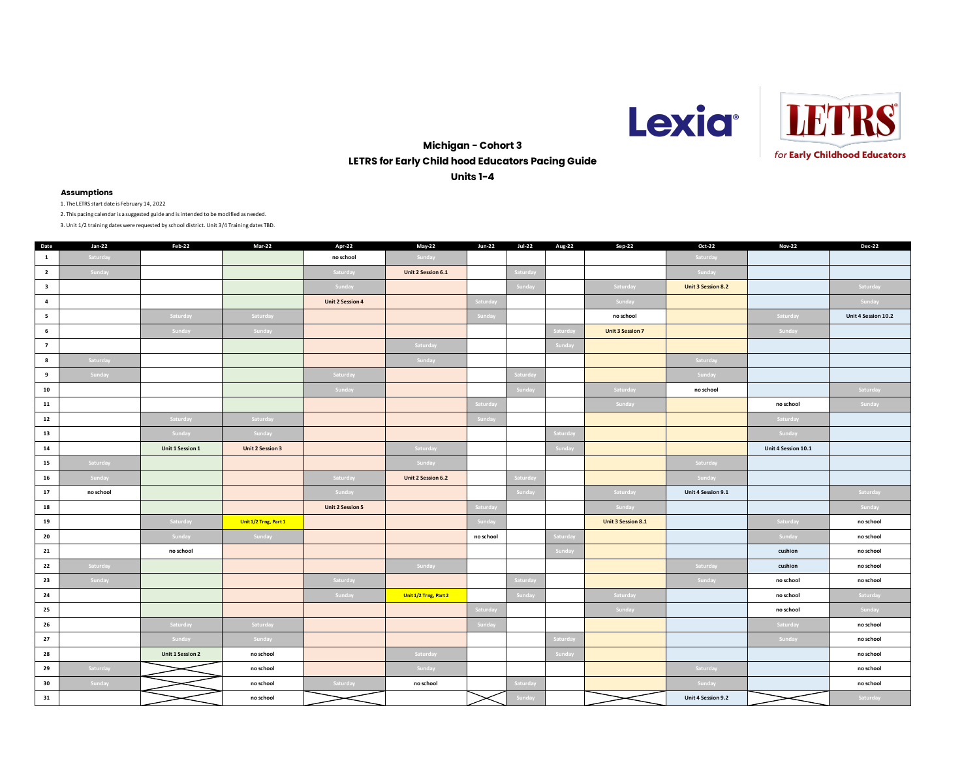



# **Michigan - Cohort 3 LETRS for Early Child hood Educators Pacing Guide Units 1-4**

# **Assumptions**

1. The LETRS start date is February 14, 2022

2. This pacing calendar is a suggested guide and is intended to be modified as needed.

| Date                    | Jan-22    | Feb-22                  | Mar-22                  | Apr-22                  | May-22                | <b>Jun-22</b> | <b>Jul-22</b> | Aug-22        | Sep-22                  | Oct-22                    | <b>Nov-22</b>       | <b>Dec-22</b>       |
|-------------------------|-----------|-------------------------|-------------------------|-------------------------|-----------------------|---------------|---------------|---------------|-------------------------|---------------------------|---------------------|---------------------|
| $\mathbf{1}$            | Saturday  |                         |                         | no school               | Sunday                |               |               |               |                         | Saturday                  |                     |                     |
| $\overline{\mathbf{2}}$ | Sunday    |                         |                         | Saturday                | Unit 2 Session 6.1    |               | Saturday      |               |                         | Sunday                    |                     |                     |
| $\overline{\mathbf{3}}$ |           |                         |                         | Sunday                  |                       |               | Sunday        |               | Saturday                | <b>Unit 3 Session 8.2</b> |                     | Saturday            |
| $\overline{a}$          |           |                         |                         | <b>Unit 2 Session 4</b> |                       | Saturday      |               |               | Sunday                  |                           |                     | Sunday              |
| 5                       |           | Saturday                | Saturday                |                         |                       | Sunday        |               |               | no school               |                           | Saturday            | Unit 4 Session 10.2 |
| $6\phantom{.0}$         |           | Sunday                  | Sunday                  |                         |                       |               |               | Saturda       | <b>Unit 3 Session 7</b> |                           | Sunday              |                     |
| $\overline{7}$          |           |                         |                         |                         | Saturday              |               |               | Sunday        |                         |                           |                     |                     |
| 8                       | Saturday  |                         |                         |                         | Sunday                |               |               |               |                         | Saturday                  |                     |                     |
| 9                       | Sunday    |                         |                         | Saturday                |                       |               | Saturday      |               |                         | Sunday                    |                     |                     |
| 10                      |           |                         |                         | Sunday                  |                       |               | Sunday        |               | Saturday                | no school                 |                     | Saturday            |
| 11                      |           |                         |                         |                         |                       | Saturday      |               |               | Sunday                  |                           | no school           | Sunday              |
| 12                      |           | Saturday                | Saturday                |                         |                       | Sunday        |               |               |                         |                           | Saturday            |                     |
| 13                      |           | Sunday                  | Sunday                  |                         |                       |               |               | Saturda       |                         |                           | Sunday              |                     |
| 14                      |           | Unit 1 Session 1        | <b>Unit 2 Session 3</b> |                         | Saturday              |               |               | Sunday        |                         |                           | Unit 4 Session 10.1 |                     |
| 15                      | Saturday  |                         |                         |                         | Sunday                |               |               |               |                         | Saturday                  |                     |                     |
| 16                      | Sunday    |                         |                         | Saturday                | Unit 2 Session 6.2    |               | Saturday      |               |                         | Sunday                    |                     |                     |
| 17                      | no school |                         |                         | Sunday                  |                       |               | Sunday        |               | Saturday                | Unit 4 Session 9.1        |                     | Saturday            |
| 18                      |           |                         |                         | <b>Unit 2 Session 5</b> |                       | Saturday      |               |               | Sunday                  |                           |                     | Sunday              |
| 19                      |           | Saturday                | Unit 1/2 Trng, Part 1   |                         |                       | Sunday        |               |               | Unit 3 Session 8.1      |                           | Saturday            | no school           |
| 20                      |           | Sunday                  | Sunday                  |                         |                       | no school     |               | Saturda       |                         |                           | Sunday              | no school           |
| 21                      |           | no school               |                         |                         |                       |               |               | Sunday        |                         |                           | cushion             | no school           |
| 22                      | Saturday  |                         |                         |                         | Sunday                |               |               |               |                         | Saturday                  | cushion             | no school           |
| 23                      | Sunday    |                         |                         | Saturday                |                       |               | Saturday      |               |                         | Sunday                    | no school           | no school           |
| 24                      |           |                         |                         | Sunday                  | Unit 1/2 Trng, Part 2 |               | Sunday        |               | Saturday                |                           | no school           | Saturday            |
| 25                      |           |                         |                         |                         |                       | Saturday      |               |               | Sunday                  |                           | no school           | Sunday              |
| 26                      |           | Saturday                | Saturday                |                         |                       | Sunday        |               |               |                         |                           | Saturday            | no school           |
| 27                      |           | Sunday                  | Sunday                  |                         |                       |               |               | Saturday      |                         |                           | Sunday              | no school           |
| 28                      |           | <b>Unit 1 Session 2</b> | no school               |                         | Saturday              |               |               | <b>Sunday</b> |                         |                           |                     | no school           |
| 29                      | Saturday  |                         | no school               |                         | Sunday                |               |               |               |                         | Saturday                  |                     | no school           |
| 30                      | Sunday    |                         | no school               | Saturday                | no school             |               | Saturday      |               |                         | Sunday                    |                     | no school           |
| 31                      |           |                         | no school               |                         |                       |               | Sunday        |               |                         | Unit 4 Session 9.2        |                     | Saturday            |